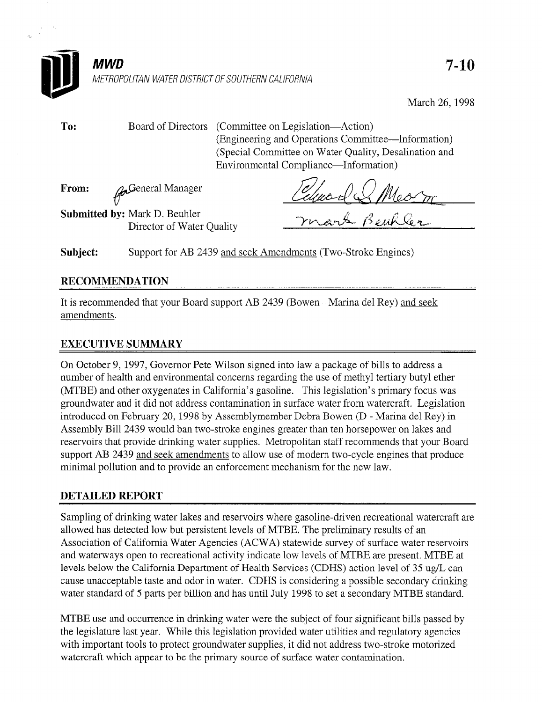

March 26,199s

To: Board of Directors (Committee on Legislation-Action) (Engineering and Operations Committee-Information) (Special Committee on Water Quality, Desalination and Environmental Compliance-Information)

From: v neral Manager

General Manager<br>
Mark D. Beuhler<br>
Director of Water Quality - Thear & Beuk Cen

Submitted by: Mark D. Beuhler

Subject: Support for AB 2439 and seek Amendments (Two-Stroke Engines)

# RECOMMENDATION

It is recommended that your Board support AB 2439 (Bowen - Marina de1 Rey) and seek amendments.

## EXECUTIVE SUMMARY

On October 9, 1997, Governor Pete Wilson signed into law a package of bills to address a number of health and environmental concerns regarding the use of methyl tertiary butyl ether (MTBE) and other oxygenates in California's gasoline. This legislation's primary focus was groundwater and it did not address contamination in surface water from watercraft. Legislation introduced on February 20, 1998 by Assemblymember Debra Bowen (D - Marina de1 Rey) in Assembly Bill 2439 would ban two-stroke engines greater than ten horsepower on lakes and reservoirs that provide drinking water supplies. Metropolitan staff recommends that your Board support AB 2439 and seek amendments to allow use of modern two-cycle engines that produce minimal pollution and to provide an enforcement mechanism for the new law.

## DETAILED REPORT

Sampling of drinking water lakes and reservoirs where gasoline-driven recreational watercraft are allowed has detected low but persistent levels of MTBE. The preliminary results of an Association of California Water Agencies (ACWA) statewide survey of surface water reservoirs and waterways open to recreational activity indicate low levels of MTBE are present. MTBE at levels below the California Department of Health Services (CDHS) action level of 35 ug/L can cause unacceptable taste and odor in water. CDHS is considering a possible secondary drinking water standard of 5 parts per billion and has until July 1998 to set a secondary MTBE standard.

MTBE use and occurrence in drinking water were the subject of four significant bills passed by the legislature last year. While this legislation provided water utilities and regulatory agencies with important tools to protect groundwater supplies, it did not address two-stroke motorized watercraft which appear to be the primary source of surface water contamination.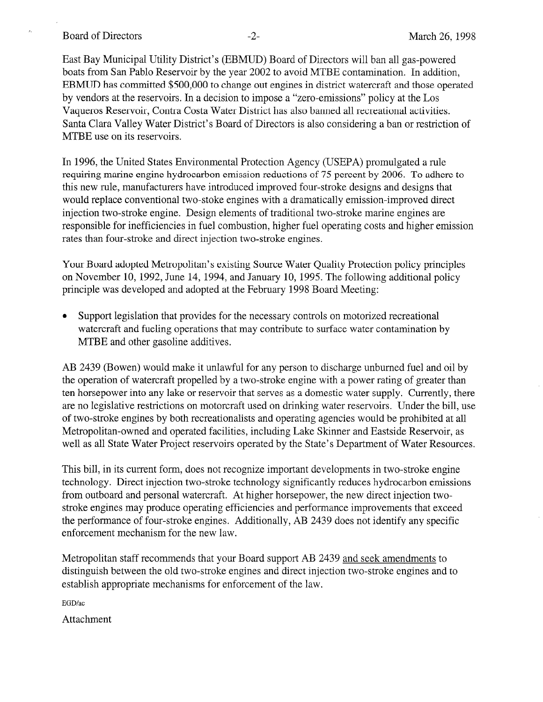r. Board of Directors -2- March 26, 1998

East Bay Municipal Utility District's (EBMUD) Board of Directors will ban all gas-powered boats from San Pablo Reservoir by the year 2002 to avoid MTBE contamination. In addition, EBMUD has committed \$500,000 to change out engines in district watercraft and those operated by vendors at the reservoirs. In a decision to impose a "zero-emissions" policy at the Los Vaqueros Reservoir, Contra Costa Water District has also banned all recreational activities. Santa Clara Valley Water District's Board of Directors is also considering a ban or restriction of MTBE use on its reservoirs.

In 1996, the United States Environmental Protection Agency (USEPA) promulgated a rule requiring marine engine hydrocarbon emission reductions of 75 percent by 2006. To adhere to this new rule, manufacturers have introduced improved four-stroke designs and designs that would replace conventional two-stoke engines with a dramatically emission-improved direct injection two-stroke engine. Design elements of traditional two-stroke marine engines are responsible for inefficiencies in fuel combustion, higher fuel operating costs and higher emission rates than four-stroke and direct injection two-stroke engines.

Your Board adopted Metropolitan's existing Source Water Quality Protection policy principles on November 10, 1992, June 14, 1994, and January 10, 1995. The following additional policy principle was developed and adopted at the February 1998 Board Meeting:

Support legislation that provides for the necessary controls on motorized recreational watercraft and fueling operations that may contribute to surface water contamination by MTBE and other gasoline additives.

AB 2439 (Bowen) would make it unlawful for any person to discharge unburned fuel and oil by the operation of watercraft propelled by a two-stroke engine with a power rating of greater than ten horsepower into any lake or reservoir that serves as a domestic water supply. Currently, there are no legislative restrictions on motorcraft used on drinking water reservoirs. Under the bill, use of two-stroke engines by both recreationalists and operating agencies would be prohibited at all Metropolitan-owned and operated facilities, including Lake Skinner and Eastside Reservoir, as well as all State Water Project reservoirs operated by the State's Department of Water Resources.

This bill, in its current form, does not recognize important developments in two-stroke engine technology. Direct injection two-stroke technology significantly reduces hydrocarbon emissions from outboard and personal watercraft. At higher horsepower, the new direct injection twostroke engines may produce operating efficiencies and performance improvements that exceed the performance of four-stroke engines. Additionally, AB 2439 does not identify any specific enforcement mechanism for the new law.

Metropolitan staff recommends that your Board support AB 2439 and seek amendments to distinguish between the old two-stroke engines and direct injection two-stroke engines and to establish appropriate mechanisms for enforcement of the law.

EGD/ac

Attachment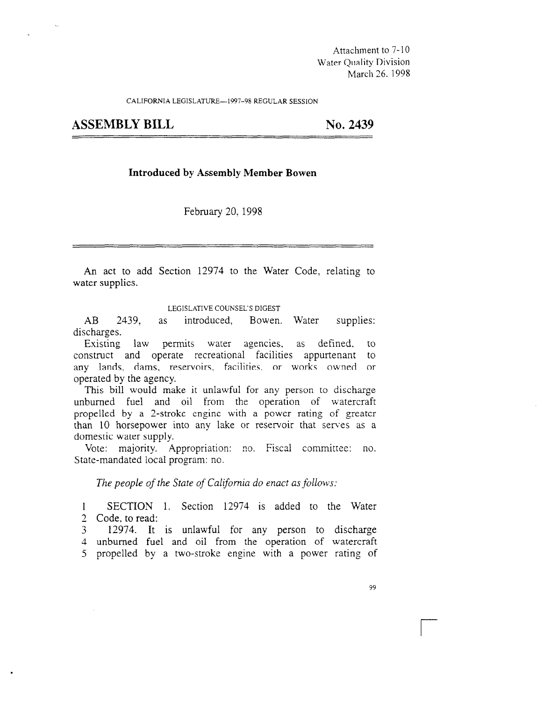Attachment to 7- 10 Water Quality Division March 26. 1998

CALIFORNIA LEGISLATURE-1997-98 REGULAR SESSION

ASSEMBLY BILL No. 2439

#### Introduced by Assembly Member Bowen

February 20, 1998

An act to add Section 12974 to the Water Code, relating to water supplies.

LEGISLATIVE COUNSEL'S DIGEST

EDISENTRE CONSERVANCE?<br>AB 2439, as introduced, Bowen. When supplies: AB 2439,<br>discharges.

Exisring law permits water agencies, as defined, to existing law permits watch agencies, as defined, to construct and operate recreational racified appurtenant to any lands, dams, reservoirs, facilities, or works owned or operated by the agency.  $T$  and  $T$  is uncertainty.

 $\mu$  inis bill would make it unlawful for any person to discharge unburned fuel and oil from the operation of watercraft propelled by a 2-stroke engine with a power rating of greater than 10 horsepower into any lake or reservoir that serves as a domestic water supply.

Vote: majority. Appropriation: no. Fiscal committee: no.<br>State-mandated local program: no.

1 SECTION 2 Code, to read:

3 12974. It is unlawful for any person to discharge 4 unburned fuel and oil from the operation of watercraft 5 propelled by a two-stroke engine with a power rating of

<u>r</u>